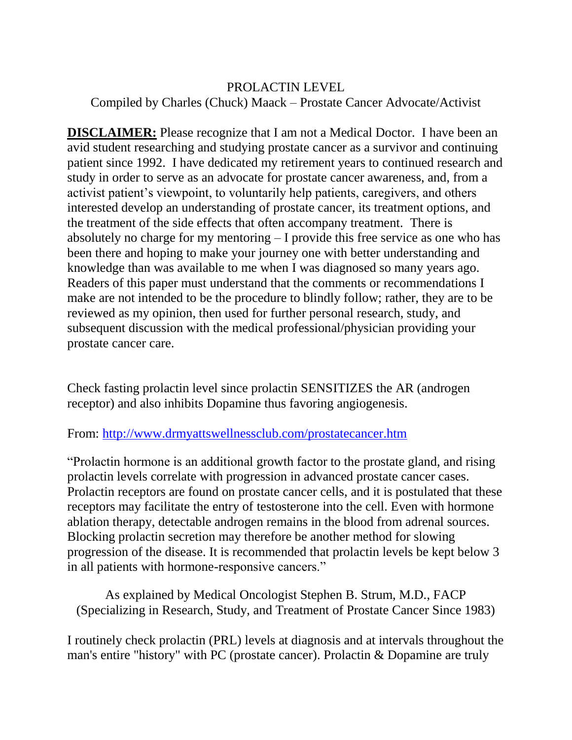## PROLACTIN LEVEL Compiled by Charles (Chuck) Maack – Prostate Cancer Advocate/Activist

**DISCLAIMER:** Please recognize that I am not a Medical Doctor. I have been an avid student researching and studying prostate cancer as a survivor and continuing patient since 1992. I have dedicated my retirement years to continued research and study in order to serve as an advocate for prostate cancer awareness, and, from a activist patient's viewpoint, to voluntarily help patients, caregivers, and others interested develop an understanding of prostate cancer, its treatment options, and the treatment of the side effects that often accompany treatment. There is absolutely no charge for my mentoring – I provide this free service as one who has been there and hoping to make your journey one with better understanding and knowledge than was available to me when I was diagnosed so many years ago. Readers of this paper must understand that the comments or recommendations I make are not intended to be the procedure to blindly follow; rather, they are to be reviewed as my opinion, then used for further personal research, study, and subsequent discussion with the medical professional/physician providing your prostate cancer care.

Check fasting prolactin level since prolactin SENSITIZES the AR (androgen receptor) and also inhibits Dopamine thus favoring angiogenesis.

## From:<http://www.drmyattswellnessclub.com/prostatecancer.htm>

"Prolactin hormone is an additional growth factor to the prostate gland, and rising prolactin levels correlate with progression in advanced prostate cancer cases. Prolactin receptors are found on prostate cancer cells, and it is postulated that these receptors may facilitate the entry of testosterone into the cell. Even with hormone ablation therapy, detectable androgen remains in the blood from adrenal sources. Blocking prolactin secretion may therefore be another method for slowing progression of the disease. It is recommended that prolactin levels be kept below 3 in all patients with hormone-responsive cancers."

As explained by Medical Oncologist Stephen B. Strum, M.D., FACP (Specializing in Research, Study, and Treatment of Prostate Cancer Since 1983)

I routinely check prolactin (PRL) levels at diagnosis and at intervals throughout the man's entire "history" with PC (prostate cancer). Prolactin & Dopamine are truly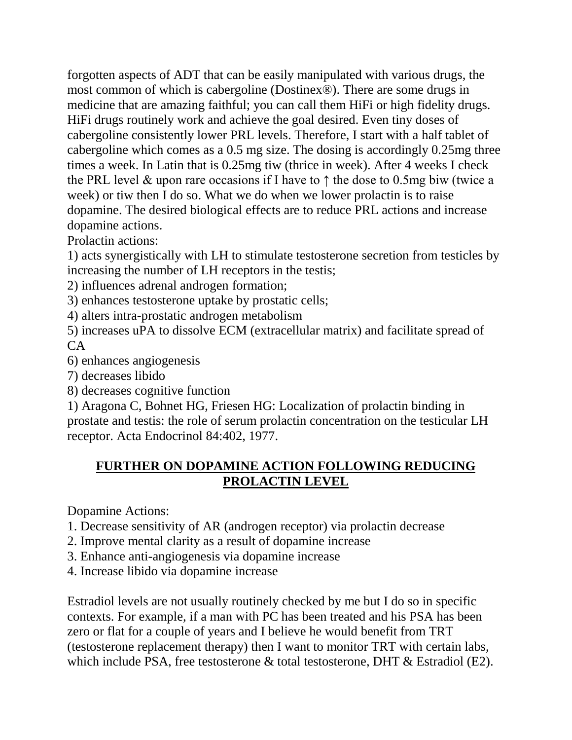forgotten aspects of ADT that can be easily manipulated with various drugs, the most common of which is cabergoline (Dostinex®). There are some drugs in medicine that are amazing faithful; you can call them HiFi or high fidelity drugs. HiFi drugs routinely work and achieve the goal desired. Even tiny doses of cabergoline consistently lower PRL levels. Therefore, I start with a half tablet of cabergoline which comes as a 0.5 mg size. The dosing is accordingly 0.25mg three times a week. In Latin that is 0.25mg tiw (thrice in week). After 4 weeks I check the PRL level & upon rare occasions if I have to  $\uparrow$  the dose to 0.5mg biw (twice a week) or tiw then I do so. What we do when we lower prolactin is to raise dopamine. The desired biological effects are to reduce PRL actions and increase dopamine actions.

Prolactin actions:

1) acts synergistically with LH to stimulate testosterone secretion from testicles by increasing the number of LH receptors in the testis;

2) influences adrenal androgen formation;

3) enhances testosterone uptake by prostatic cells;

4) alters intra-prostatic androgen metabolism

5) increases uPA to dissolve ECM (extracellular matrix) and facilitate spread of  $CA$ 

6) enhances angiogenesis

7) decreases libido

8) decreases cognitive function

1) Aragona C, Bohnet HG, Friesen HG: Localization of prolactin binding in prostate and testis: the role of serum prolactin concentration on the testicular LH receptor. Acta Endocrinol 84:402, 1977.

## **FURTHER ON DOPAMINE ACTION FOLLOWING REDUCING PROLACTIN LEVEL**

Dopamine Actions:

- 1. Decrease sensitivity of AR (androgen receptor) via prolactin decrease
- 2. Improve mental clarity as a result of dopamine increase
- 3. Enhance anti-angiogenesis via dopamine increase
- 4. Increase libido via dopamine increase

Estradiol levels are not usually routinely checked by me but I do so in specific contexts. For example, if a man with PC has been treated and his PSA has been zero or flat for a couple of years and I believe he would benefit from TRT (testosterone replacement therapy) then I want to monitor TRT with certain labs, which include PSA, free testosterone & total testosterone, DHT & Estradiol (E2).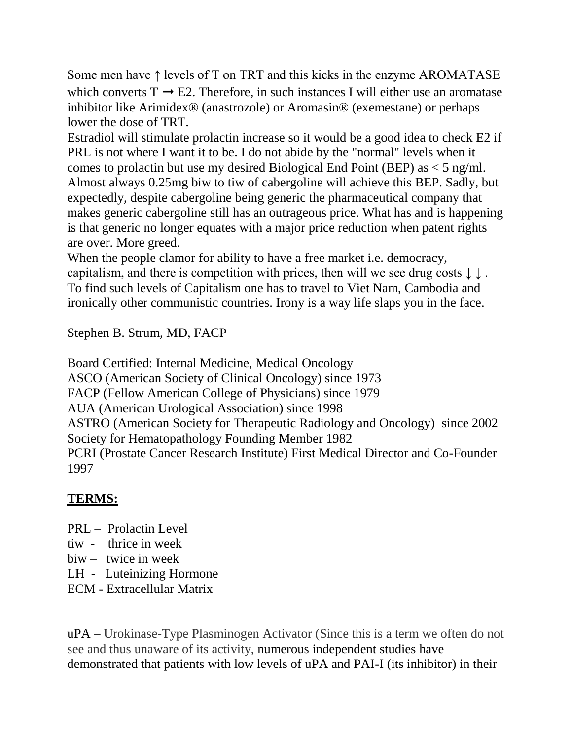Some men have ↑ levels of T on TRT and this kicks in the enzyme AROMATASE which converts  $T \rightarrow E2$ . Therefore, in such instances I will either use an aromatase inhibitor like Arimidex® (anastrozole) or Aromasin® (exemestane) or perhaps lower the dose of TRT.

Estradiol will stimulate prolactin increase so it would be a good idea to check E2 if PRL is not where I want it to be. I do not abide by the "normal" levels when it comes to prolactin but use my desired Biological End Point (BEP) as  $<$  5 ng/ml. Almost always 0.25mg biw to tiw of cabergoline will achieve this BEP. Sadly, but expectedly, despite cabergoline being generic the pharmaceutical company that makes generic cabergoline still has an outrageous price. What has and is happening is that generic no longer equates with a major price reduction when patent rights are over. More greed.

When the people clamor for ability to have a free market i.e. democracy, capitalism, and there is competition with prices, then will we see drug costs ↓ ↓ . To find such levels of Capitalism one has to travel to Viet Nam, Cambodia and ironically other communistic countries. Irony is a way life slaps you in the face.

Stephen B. Strum, MD, FACP

Board Certified: Internal Medicine, Medical Oncology ASCO (American Society of Clinical Oncology) since 1973 FACP (Fellow American College of Physicians) since 1979 AUA (American Urological Association) since 1998 ASTRO (American Society for Therapeutic Radiology and Oncology) since 2002 Society for Hematopathology Founding Member 1982 PCRI (Prostate Cancer Research Institute) First Medical Director and Co-Founder 1997

## **TERMS:**

- PRL Prolactin Level
- tiw thrice in week
- biw twice in week
- LH Luteinizing Hormone
- ECM Extracellular Matrix

uPA – Urokinase-Type Plasminogen Activator (Since this is a term we often do not see and thus unaware of its activity, numerous independent studies have demonstrated that patients with low levels of uPA and PAI-I (its inhibitor) in their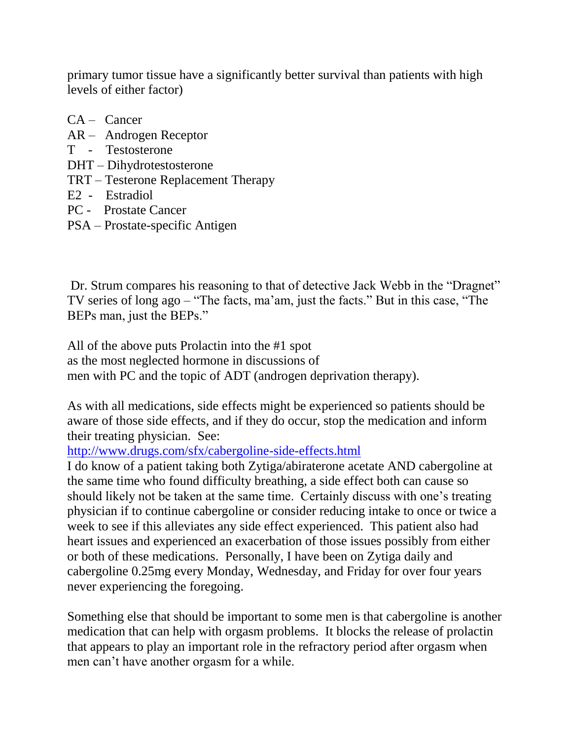primary tumor tissue have a significantly better survival than patients with high levels of either factor)

- CA Cancer
- AR Androgen Receptor
- T Testosterone
- DHT Dihydrotestosterone
- TRT Testerone Replacement Therapy
- E2 Estradiol
- PC Prostate Cancer
- PSA Prostate-specific Antigen

Dr. Strum compares his reasoning to that of detective Jack Webb in the "Dragnet" TV series of long ago – "The facts, ma'am, just the facts." But in this case, "The BEPs man, just the BEPs."

All of the above puts Prolactin into the #1 spot as the most neglected hormone in discussions of men with PC and the topic of ADT (androgen deprivation therapy).

As with all medications, side effects might be experienced so patients should be aware of those side effects, and if they do occur, stop the medication and inform their treating physician. See:

<http://www.drugs.com/sfx/cabergoline-side-effects.html>

I do know of a patient taking both Zytiga/abiraterone acetate AND cabergoline at the same time who found difficulty breathing, a side effect both can cause so should likely not be taken at the same time. Certainly discuss with one's treating physician if to continue cabergoline or consider reducing intake to once or twice a week to see if this alleviates any side effect experienced. This patient also had heart issues and experienced an exacerbation of those issues possibly from either or both of these medications. Personally, I have been on Zytiga daily and cabergoline 0.25mg every Monday, Wednesday, and Friday for over four years never experiencing the foregoing.

Something else that should be important to some men is that cabergoline is another medication that can help with orgasm problems. It blocks the release of prolactin that appears to play an important role in the refractory period after orgasm when men can't have another orgasm for a while.